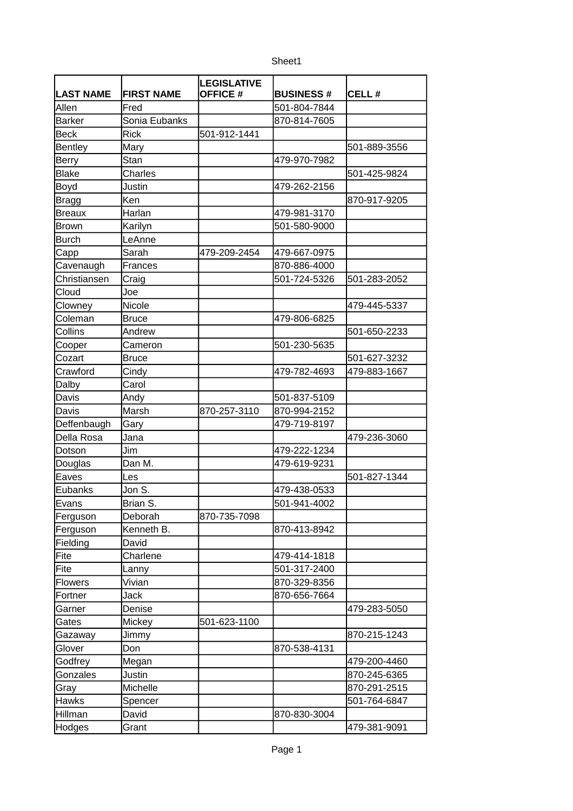|                  |                   | LEGISLATIVE     |                  |              |
|------------------|-------------------|-----------------|------------------|--------------|
| <b>LAST NAME</b> | <b>FIRST NAME</b> | <b>OFFICE #</b> | <b>BUSINESS#</b> | CELL#        |
| Allen            | Fred              |                 | 501-804-7844     |              |
| <b>Barker</b>    | Sonia Eubanks     |                 | 870-814-7605     |              |
| <b>Beck</b>      | <b>Rick</b>       | 501-912-1441    |                  |              |
| Bentley          | Mary              |                 |                  | 501-889-3556 |
| Berry            | Stan              |                 | 479-970-7982     |              |
| <b>Blake</b>     | Charles           |                 |                  | 501-425-9824 |
| Boyd             | Justin            |                 | 479-262-2156     |              |
| <b>Bragg</b>     | Ken               |                 |                  | 870-917-9205 |
| <b>Breaux</b>    | Harlan            |                 | 479-981-3170     |              |
| <b>Brown</b>     | Karilyn           |                 | 501-580-9000     |              |
| <b>Burch</b>     | LeAnne            |                 |                  |              |
| Capp             | Sarah             | 479-209-2454    | 479-667-0975     |              |
| Cavenaugh        | Frances           |                 | 870-886-4000     |              |
| Christiansen     | Craig             |                 | 501-724-5326     | 501-283-2052 |
| Cloud            | Joe               |                 |                  |              |
| Clowney          | Nicole            |                 |                  | 479-445-5337 |
| Coleman          | <b>Bruce</b>      |                 | 479-806-6825     |              |
| Collins          | Andrew            |                 |                  | 501-650-2233 |
| Cooper           | Cameron           |                 | 501-230-5635     |              |
| Cozart           | <b>Bruce</b>      |                 |                  | 501-627-3232 |
| Crawford         | Cindy             |                 | 479-782-4693     | 479-883-1667 |
| Dalby            | Carol             |                 |                  |              |
| Davis            | Andy              |                 | 501-837-5109     |              |
| Davis            | Marsh             | 870-257-3110    | 870-994-2152     |              |
| Deffenbaugh      | Gary              |                 | 479-719-8197     |              |
| Della Rosa       | Jana              |                 |                  | 479-236-3060 |
| Dotson           | Jim               |                 | 479-222-1234     |              |
| Douglas          | Dan M.            |                 | 479-619-9231     |              |
| Eaves            | Les               |                 |                  | 501-827-1344 |
| Eubanks          | Jon S.            |                 | 479-438-0533     |              |
| <b>IEvans</b>    | lBrian S.         |                 | 501-941-4002     |              |
| Ferguson         | Deborah           | 870-735-7098    |                  |              |
| Ferguson         | Kenneth B.        |                 | 870-413-8942     |              |
| Fielding         | David             |                 |                  |              |
| Fite             | Charlene          |                 | 479-414-1818     |              |
| Fite             | Lanny             |                 | 501-317-2400     |              |
| <b>Flowers</b>   | Vivian            |                 | 870-329-8356     |              |
| Fortner          | Jack              |                 | 870-656-7664     |              |
| Garner           | Denise            |                 |                  | 479-283-5050 |
| Gates            | Mickey            | 501-623-1100    |                  |              |
| Gazaway          | Jimmy             |                 |                  | 870-215-1243 |
| Glover           | Don               |                 | 870-538-4131     |              |
| Godfrey          | Megan             |                 |                  | 479-200-4460 |
| Gonzales         | Justin            |                 |                  | 870-245-6365 |
| Gray             | Michelle          |                 |                  | 870-291-2515 |
| <b>Hawks</b>     | Spencer           |                 |                  | 501-764-6847 |
| Hillman          | David             |                 | 870-830-3004     |              |
| Hodges           | Grant             |                 |                  | 479-381-9091 |
|                  |                   |                 |                  |              |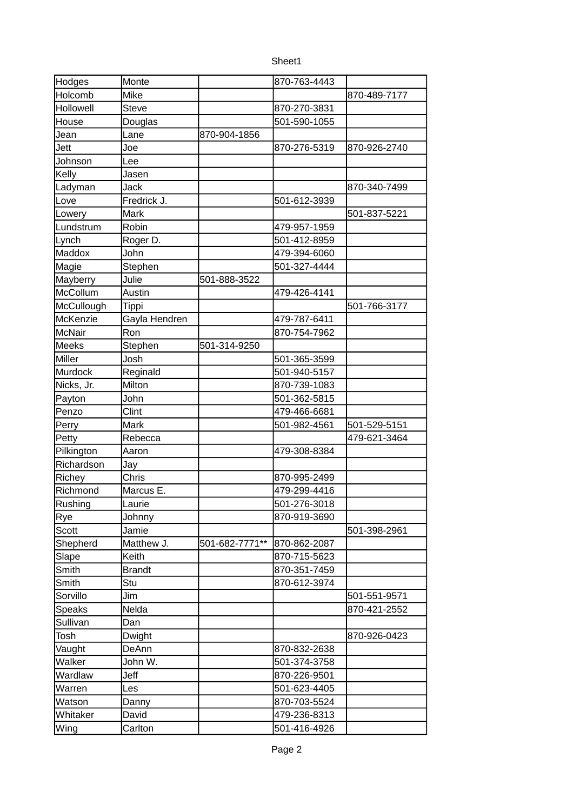| c<br>۱Α<br>۱L |
|---------------|
|---------------|

| Hodges             | Monte           |                | 870-763-4443 |              |
|--------------------|-----------------|----------------|--------------|--------------|
| Holcomb            | Mike            |                |              | 870-489-7177 |
| Hollowell          | <b>Steve</b>    |                | 870-270-3831 |              |
|                    |                 |                |              |              |
| House              | Douglas<br>Lane | 870-904-1856   | 501-590-1055 |              |
| Jean               |                 |                |              |              |
| Jett               | Joe             |                | 870-276-5319 | 870-926-2740 |
| Johnson            | Lee             |                |              |              |
| Kelly              | Jasen           |                |              |              |
| Ladyman            | Jack            |                |              | 870-340-7499 |
| Love               | Fredrick J.     |                | 501-612-3939 |              |
| Lowery             | Mark            |                |              | 501-837-5221 |
| Lundstrum          | Robin           |                | 479-957-1959 |              |
| Lynch              | Roger D.        |                | 501-412-8959 |              |
| Maddox             | John            |                | 479-394-6060 |              |
| Magie              | Stephen         |                | 501-327-4444 |              |
| Mayberry           | Julie           | 501-888-3522   |              |              |
| McCollum           | Austin          |                | 479-426-4141 |              |
| McCullough         | Tippi           |                |              | 501-766-3177 |
| McKenzie           | Gayla Hendren   |                | 479-787-6411 |              |
| McNair             | Ron             |                | 870-754-7962 |              |
| Meeks              | Stephen         | 501-314-9250   |              |              |
| Miller             | Josh            |                | 501-365-3599 |              |
| Murdock            | Reginald        |                | 501-940-5157 |              |
| Nicks, Jr.         | Milton          |                | 870-739-1083 |              |
| Payton             | John            |                | 501-362-5815 |              |
| Penzo              | Clint           |                | 479-466-6681 |              |
| Perry              | Mark            |                | 501-982-4561 | 501-529-5151 |
| Petty              | Rebecca         |                |              | 479-621-3464 |
| Pilkington         | Aaron           |                | 479-308-8384 |              |
| Richardson         | Jay             |                |              |              |
| Richey             | Chris           |                | 870-995-2499 |              |
| Richmond           | Marcus E.       |                | 479-299-4416 |              |
| Rushing            | Laurie          |                | 501-276-3018 |              |
| Rye                | Johnny          |                | 870-919-3690 |              |
| Scott              | Jamie           |                |              | 501-398-2961 |
| Shepherd           | Matthew J.      | 501-682-7771** | 870-862-2087 |              |
| Slape              | Keith           |                | 870-715-5623 |              |
| Smith              | <b>Brandt</b>   |                | 870-351-7459 |              |
| Smith              | Stu             |                | 870-612-3974 |              |
| Sorvillo           | Jim             |                |              | 501-551-9571 |
| Speaks             | Nelda           |                |              | 870-421-2552 |
| Sullivan           | Dan             |                |              |              |
| Tosh               | Dwight          |                |              | 870-926-0423 |
| Vaught             | DeAnn           |                | 870-832-2638 |              |
| Walker             | John W.         |                | 501-374-3758 |              |
| Wardlaw            | Jeff            |                | 870-226-9501 |              |
| Warren             | Les             |                | 501-623-4405 |              |
|                    |                 |                | 870-703-5524 |              |
| Watson<br>Whitaker | Danny<br>David  |                | 479-236-8313 |              |
|                    |                 |                |              |              |
| Wing               | Carlton         |                | 501-416-4926 |              |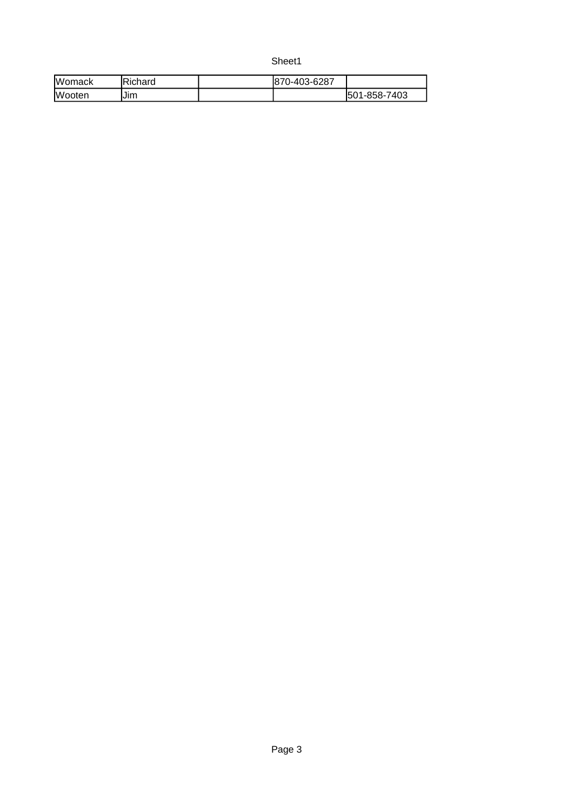Sheet1

| <b>Womack</b> | Richard     | 0-403-6287<br>187 |                    |
|---------------|-------------|-------------------|--------------------|
| <b>Wooten</b> | $-$<br>IJım |                   | 1-858-7403<br>1501 |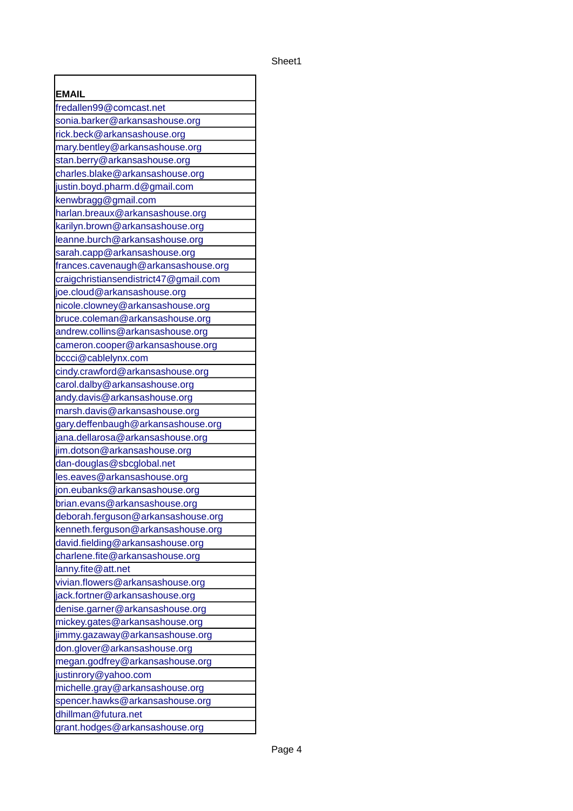| <b>EMAIL</b>                          |
|---------------------------------------|
| fredallen99@comcast.net               |
| sonia.barker@arkansashouse.org        |
| rick.beck@arkansashouse.org           |
| mary.bentley@arkansashouse.org        |
| stan.berry@arkansashouse.org          |
| charles.blake@arkansashouse.org       |
| justin.boyd.pharm.d@gmail.com         |
| kenwbragg@gmail.com                   |
| harlan.breaux@arkansashouse.org       |
| karilyn.brown@arkansashouse.org       |
| leanne.burch@arkansashouse.org        |
| sarah.capp@arkansashouse.org          |
| frances.cavenaugh@arkansashouse.org   |
| craigchristiansendistrict47@gmail.com |
| joe.cloud@arkansashouse.org           |
| nicole.clowney@arkansashouse.org      |
| bruce.coleman@arkansashouse.org       |
| andrew.collins@arkansashouse.org      |
| cameron.cooper@arkansashouse.org      |
| bccci@cablelynx.com                   |
| cindy.crawford@arkansashouse.org      |
| carol.dalby@arkansashouse.org         |
| andy.davis@arkansashouse.org          |
| marsh.davis@arkansashouse.org         |
| gary.deffenbaugh@arkansashouse.org    |
| jana.dellarosa@arkansashouse.org      |
| jim.dotson@arkansashouse.org          |
| dan-douglas@sbcglobal.net             |
| les.eaves@arkansashouse.org           |
| jon.eubanks@arkansashouse.org         |
| brian.evans@arkansashouse.org         |
| deborah.ferguson@arkansashouse.org    |
| kenneth.ferguson@arkansashouse.org    |
| david.fielding@arkansashouse.org      |
| charlene.fite@arkansashouse.org       |
| lanny.fite@att.net                    |
| vivian.flowers@arkansashouse.org      |
| jack.fortner@arkansashouse.org        |
| denise.garner@arkansashouse.org       |
| mickey.gates@arkansashouse.org        |
| jimmy.gazaway@arkansashouse.org       |
| don.glover@arkansashouse.org          |
| megan.godfrey@arkansashouse.org       |
| justinrory@yahoo.com                  |
| michelle.gray@arkansashouse.org       |
| spencer.hawks@arkansashouse.org       |
| dhillman@futura.net                   |
| grant.hodges@arkansashouse.org        |

f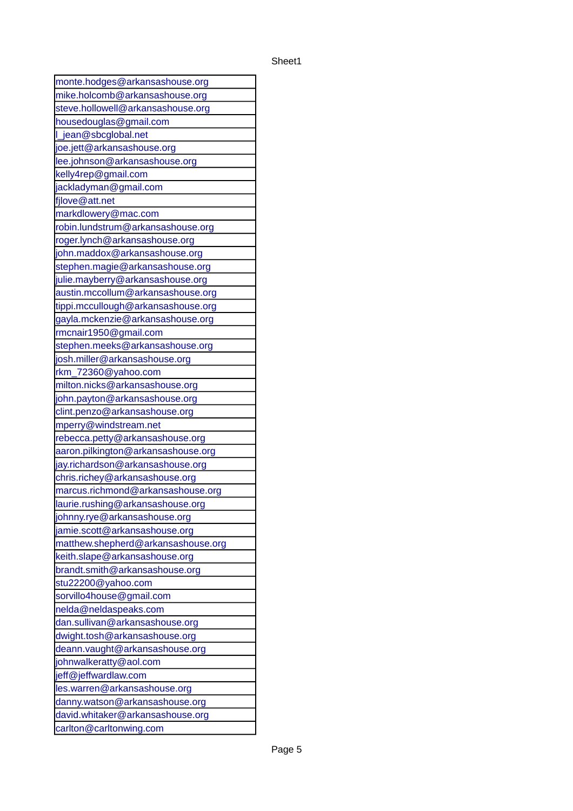| monte.hodges@arkansashouse.org     |
|------------------------------------|
| mike.holcomb@arkansashouse.org     |
| steve.hollowell@arkansashouse.org  |
| housedouglas@gmail.com             |
| jean@sbcglobal.net<br>I            |
| joe.jett@arkansashouse.org         |
| lee.johnson@arkansashouse.org      |
| kelly4rep@gmail.com                |
| jackladyman@gmail.com              |
| fjlove@att.net                     |
| markdlowery@mac.com                |
| robin.lundstrum@arkansashouse.org  |
| roger.lynch@arkansashouse.org      |
| john.maddox@arkansashouse.org      |
| stephen.magie@arkansashouse.org    |
| julie.mayberry@arkansashouse.org   |
| austin.mccollum@arkansashouse.org  |
| tippi.mccullough@arkansashouse.org |
| gayla.mckenzie@arkansashouse.org   |
| rmcnair1950@gmail.com              |
| stephen.meeks@arkansashouse.org    |
| josh.miller@arkansashouse.org      |
| rkm_72360@yahoo.com                |
| milton.nicks@arkansashouse.org     |
| john.payton@arkansashouse.org      |
| clint.penzo@arkansashouse.org      |
| mperry@windstream.net              |
| rebecca.petty@arkansashouse.org    |
| aaron.pilkington@arkansashouse.org |
| jay.richardson@arkansashouse.org   |
| chris.richey@arkansashouse.org     |
| marcus.richmond@arkansashouse.org  |
| laurie.rushing@arkansashouse.org   |
| johnny.rye@arkansashouse.org       |
| jamie.scott@arkansashouse.org      |
| matthew.shepherd@arkansashouse.org |
| keith.slape@arkansashouse.org      |
| brandt.smith@arkansashouse.org     |
| stu22200@yahoo.com                 |
| sorvillo4house@gmail.com           |
| nelda@neldaspeaks.com              |
| dan.sullivan@arkansashouse.org     |
| dwight.tosh@arkansashouse.org      |
| deann.vaught@arkansashouse.org     |
| johnwalkeratty@aol.com             |
| jeff@jeffwardlaw.com               |
| les.warren@arkansashouse.org       |
| danny.watson@arkansashouse.org     |
| david.whitaker@arkansashouse.org   |
| carlton@carltonwing.com            |